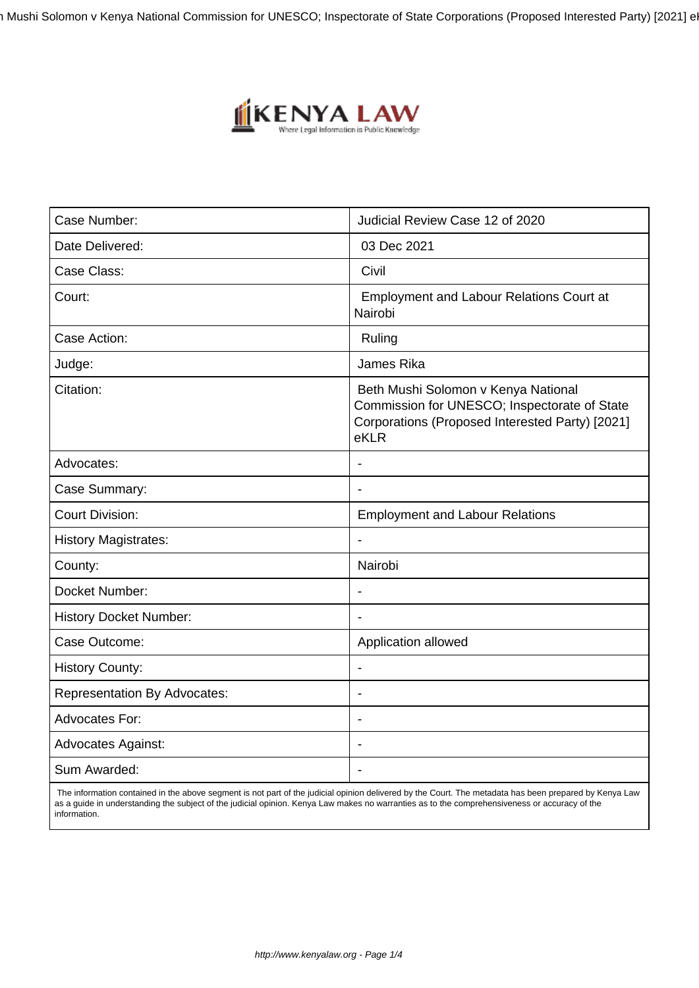Beth Mushi Solomon v Kenya National Commission for UNESCO; Inspectorate of State Corporations (Proposed Interested Party) [2021] e



| Case Number:                        | Judicial Review Case 12 of 2020                                                                                                                |
|-------------------------------------|------------------------------------------------------------------------------------------------------------------------------------------------|
| Date Delivered:                     | 03 Dec 2021                                                                                                                                    |
| Case Class:                         | Civil                                                                                                                                          |
| Court:                              | <b>Employment and Labour Relations Court at</b><br>Nairobi                                                                                     |
| Case Action:                        | Ruling                                                                                                                                         |
| Judge:                              | James Rika                                                                                                                                     |
| Citation:                           | Beth Mushi Solomon v Kenya National<br>Commission for UNESCO; Inspectorate of State<br>Corporations (Proposed Interested Party) [2021]<br>eKLR |
| Advocates:                          |                                                                                                                                                |
| Case Summary:                       |                                                                                                                                                |
| <b>Court Division:</b>              | <b>Employment and Labour Relations</b>                                                                                                         |
| <b>History Magistrates:</b>         |                                                                                                                                                |
| County:                             | Nairobi                                                                                                                                        |
| Docket Number:                      |                                                                                                                                                |
| <b>History Docket Number:</b>       |                                                                                                                                                |
| Case Outcome:                       | Application allowed                                                                                                                            |
| <b>History County:</b>              |                                                                                                                                                |
| <b>Representation By Advocates:</b> |                                                                                                                                                |
| Advocates For:                      |                                                                                                                                                |
| <b>Advocates Against:</b>           |                                                                                                                                                |
| Sum Awarded:                        |                                                                                                                                                |
|                                     |                                                                                                                                                |

 The information contained in the above segment is not part of the judicial opinion delivered by the Court. The metadata has been prepared by Kenya Law as a guide in understanding the subject of the judicial opinion. Kenya Law makes no warranties as to the comprehensiveness or accuracy of the information.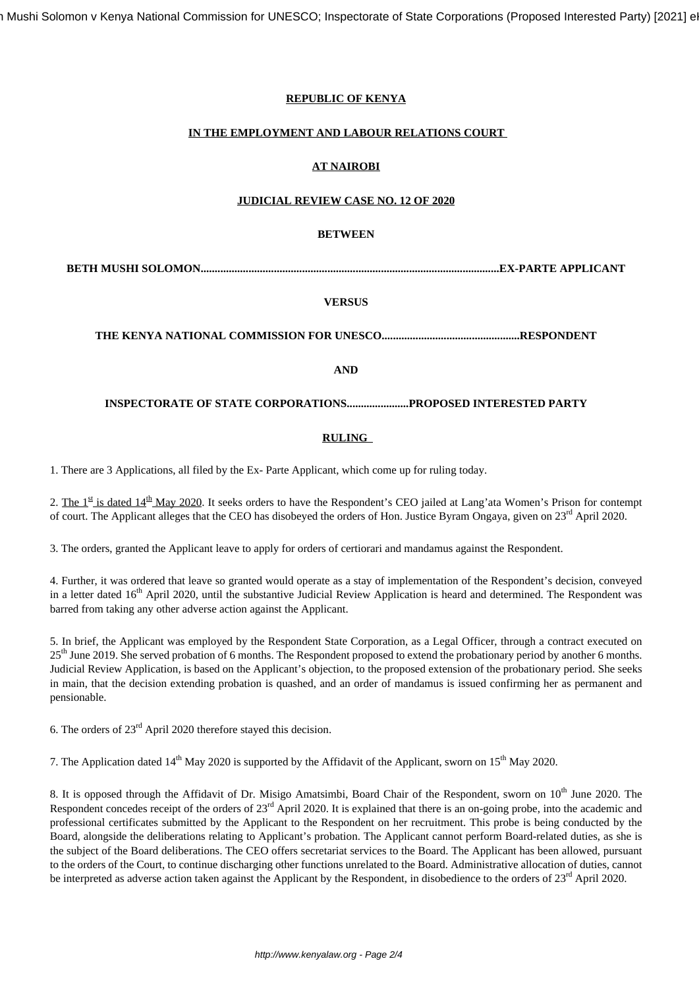## **REPUBLIC OF KENYA**

## **IN THE EMPLOYMENT AND LABOUR RELATIONS COURT**

# **AT NAIROBI**

## **JUDICIAL REVIEW CASE NO. 12 OF 2020**

## **BETWEEN**

**BETH MUSHI SOLOMON..........................................................................................................EX-PARTE APPLICANT**

## **VERSUS**

**THE KENYA NATIONAL COMMISSION FOR UNESCO.................................................RESPONDENT**

## **AND**

### **INSPECTORATE OF STATE CORPORATIONS......................PROPOSED INTERESTED PARTY**

### **RULING**

1. There are 3 Applications, all filed by the Ex- Parte Applicant, which come up for ruling today.

2. The  $1^{\underline{\text{st}}}$  is dated  $14^{\underline{\text{th}}}$  May 2020. It seeks orders to have the Respondent's CEO jailed at Lang'ata Women's Prison for contempt of court. The Applicant alleges that the CEO has disobeyed the orders of Hon. Justice Byram Ongaya, given on 23<sup>rd</sup> April 2020.

3. The orders, granted the Applicant leave to apply for orders of certiorari and mandamus against the Respondent.

4. Further, it was ordered that leave so granted would operate as a stay of implementation of the Respondent's decision, conveyed in a letter dated 16<sup>th</sup> April 2020, until the substantive Judicial Review Application is heard and determined. The Respondent was barred from taking any other adverse action against the Applicant.

5. In brief, the Applicant was employed by the Respondent State Corporation, as a Legal Officer, through a contract executed on 25<sup>th</sup> June 2019. She served probation of 6 months. The Respondent proposed to extend the probationary period by another 6 months. Judicial Review Application, is based on the Applicant's objection, to the proposed extension of the probationary period. She seeks in main, that the decision extending probation is quashed, and an order of mandamus is issued confirming her as permanent and pensionable.

6. The orders of 23rd April 2020 therefore stayed this decision.

7. The Application dated  $14<sup>th</sup>$  May 2020 is supported by the Affidavit of the Applicant, sworn on  $15<sup>th</sup>$  May 2020.

8. It is opposed through the Affidavit of Dr. Misigo Amatsimbi, Board Chair of the Respondent, sworn on 10<sup>th</sup> June 2020. The Respondent concedes receipt of the orders of 23<sup>rd</sup> April 2020. It is explained that there is an on-going probe, into the academic and professional certificates submitted by the Applicant to the Respondent on her recruitment. This probe is being conducted by the Board, alongside the deliberations relating to Applicant's probation. The Applicant cannot perform Board-related duties, as she is the subject of the Board deliberations. The CEO offers secretariat services to the Board. The Applicant has been allowed, pursuant to the orders of the Court, to continue discharging other functions unrelated to the Board. Administrative allocation of duties, cannot be interpreted as adverse action taken against the Applicant by the Respondent, in disobedience to the orders of 23<sup>rd</sup> April 2020.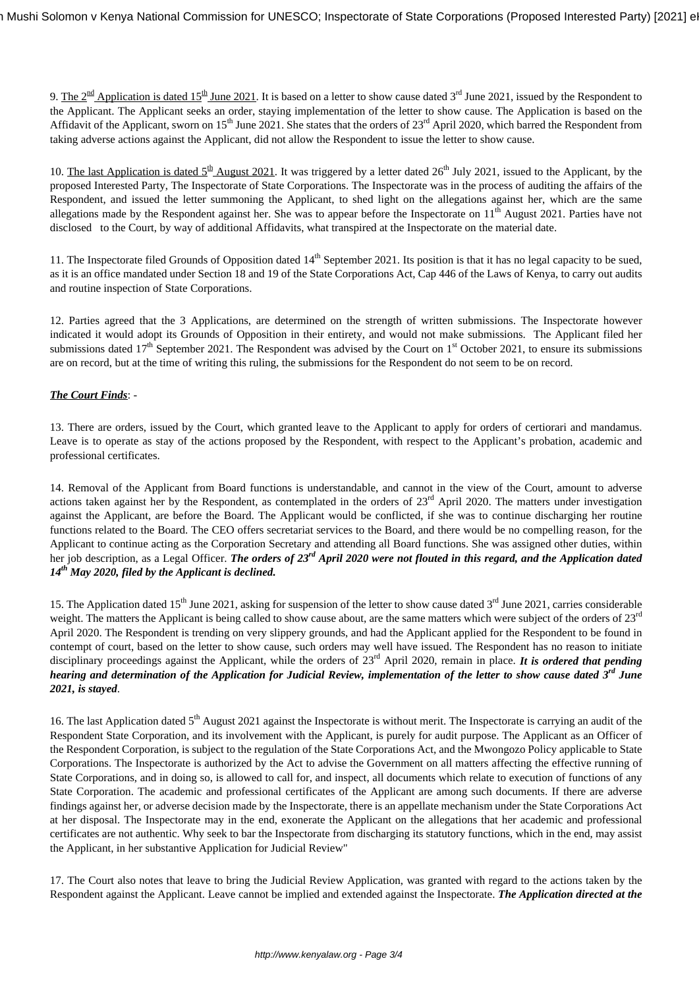9. The  $2^{\text{nd}}$  Application is dated 15<sup>th</sup> June 2021. It is based on a letter to show cause dated 3<sup>rd</sup> June 2021, issued by the Respondent to the Applicant. The Applicant seeks an order, staying implementation of the letter to show cause. The Application is based on the Affidavit of the Applicant, sworn on  $15<sup>th</sup>$  June 2021. She states that the orders of  $23<sup>rd</sup>$  April 2020, which barred the Respondent from taking adverse actions against the Applicant, did not allow the Respondent to issue the letter to show cause.

10. The last Application is dated  $5<sup>th</sup>$  August 2021. It was triggered by a letter dated 26<sup>th</sup> July 2021, issued to the Applicant, by the proposed Interested Party, The Inspectorate of State Corporations. The Inspectorate was in the process of auditing the affairs of the Respondent, and issued the letter summoning the Applicant, to shed light on the allegations against her, which are the same allegations made by the Respondent against her. She was to appear before the Inspectorate on  $11<sup>th</sup>$  August 2021. Parties have not disclosed to the Court, by way of additional Affidavits, what transpired at the Inspectorate on the material date.

11. The Inspectorate filed Grounds of Opposition dated  $14<sup>th</sup>$  September 2021. Its position is that it has no legal capacity to be sued, as it is an office mandated under Section 18 and 19 of the State Corporations Act, Cap 446 of the Laws of Kenya, to carry out audits and routine inspection of State Corporations.

12. Parties agreed that the 3 Applications, are determined on the strength of written submissions. The Inspectorate however indicated it would adopt its Grounds of Opposition in their entirety, and would not make submissions. The Applicant filed her submissions dated  $17<sup>th</sup>$  September 2021. The Respondent was advised by the Court on  $1<sup>st</sup>$  October 2021, to ensure its submissions are on record, but at the time of writing this ruling, the submissions for the Respondent do not seem to be on record.

## *The Court Finds*: -

13. There are orders, issued by the Court, which granted leave to the Applicant to apply for orders of certiorari and mandamus. Leave is to operate as stay of the actions proposed by the Respondent, with respect to the Applicant's probation, academic and professional certificates.

14. Removal of the Applicant from Board functions is understandable, and cannot in the view of the Court, amount to adverse actions taken against her by the Respondent, as contemplated in the orders of 23<sup>rd</sup> April 2020. The matters under investigation against the Applicant, are before the Board. The Applicant would be conflicted, if she was to continue discharging her routine functions related to the Board. The CEO offers secretariat services to the Board, and there would be no compelling reason, for the Applicant to continue acting as the Corporation Secretary and attending all Board functions. She was assigned other duties, within her job description, as a Legal Officer. *The orders of 23rd April 2020 were not flouted in this regard, and the Application dated 14th May 2020, filed by the Applicant is declined.* 

15. The Application dated 15<sup>th</sup> June 2021, asking for suspension of the letter to show cause dated  $3<sup>rd</sup>$  June 2021, carries considerable weight. The matters the Applicant is being called to show cause about, are the same matters which were subject of the orders of 23<sup>rd</sup> April 2020. The Respondent is trending on very slippery grounds, and had the Applicant applied for the Respondent to be found in contempt of court, based on the letter to show cause, such orders may well have issued. The Respondent has no reason to initiate disciplinary proceedings against the Applicant, while the orders of 23<sup>rd</sup> April 2020, remain in place. *It is ordered that pending hearing and determination of the Application for Judicial Review, implementation of the letter to show cause dated 3rd June 2021, is stayed*.

16. The last Application dated 5<sup>th</sup> August 2021 against the Inspectorate is without merit. The Inspectorate is carrying an audit of the Respondent State Corporation, and its involvement with the Applicant, is purely for audit purpose. The Applicant as an Officer of the Respondent Corporation, is subject to the regulation of the State Corporations Act, and the Mwongozo Policy applicable to State Corporations. The Inspectorate is authorized by the Act to advise the Government on all matters affecting the effective running of State Corporations, and in doing so, is allowed to call for, and inspect, all documents which relate to execution of functions of any State Corporation. The academic and professional certificates of the Applicant are among such documents. If there are adverse findings against her, or adverse decision made by the Inspectorate, there is an appellate mechanism under the State Corporations Act at her disposal. The Inspectorate may in the end, exonerate the Applicant on the allegations that her academic and professional certificates are not authentic. Why seek to bar the Inspectorate from discharging its statutory functions, which in the end, may assist the Applicant, in her substantive Application for Judicial Review"

17. The Court also notes that leave to bring the Judicial Review Application, was granted with regard to the actions taken by the Respondent against the Applicant. Leave cannot be implied and extended against the Inspectorate. *The Application directed at the*